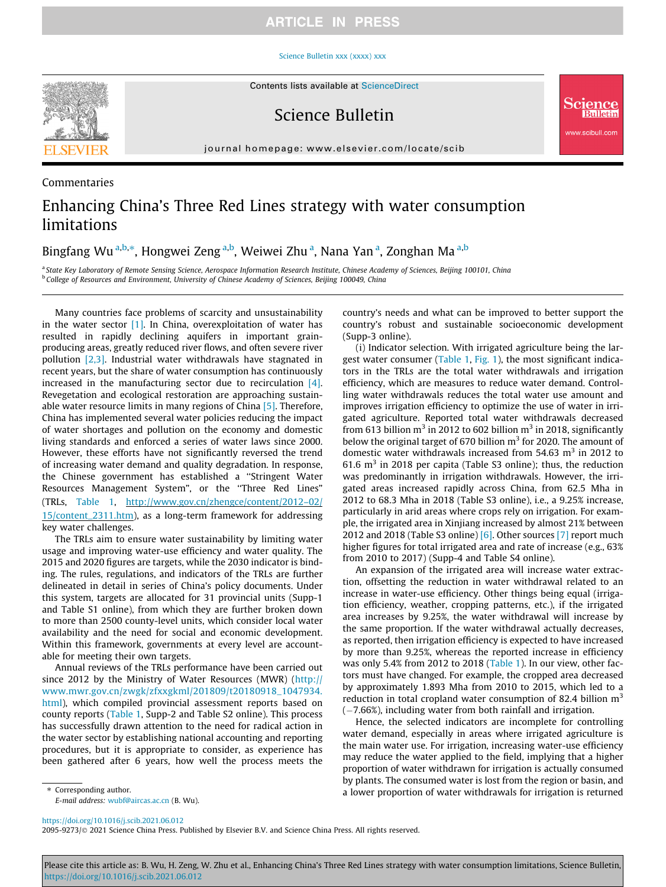## **ARTICLE IN PRESS**

#### [Science Bulletin xxx \(xxxx\) xxx](https://doi.org/10.1016/j.scib.2021.06.012)



Commentaries

Science Bulletin

journal homepage: [www.elsevier.com/locate/scib](http://www.elsevier.com/locate/scib)

# Enhancing China's Three Red Lines strategy with water consumption limitations

Bingfang Wu<sup>a,b,</sup>\*, Hongwei Zeng<sup>a,b</sup>, Weiwei Zhu<sup>a</sup>, Nana Yan<sup>a</sup>, Zonghan Ma<sup>a,b</sup>

a State Key Laboratory of Remote Sensing Science, Aerospace Information Research Institute, Chinese Academy of Sciences, Beijing 100101, China **b College of Resources and Environment, University of Chinese Academy of Sciences, Beijing 100049, China** 

Many countries face problems of scarcity and unsustainability in the water sector  $[1]$ . In China, overexploitation of water has resulted in rapidly declining aquifers in important grainproducing areas, greatly reduced river flows, and often severe river pollution [\[2,3\].](#page-2-0) Industrial water withdrawals have stagnated in recent years, but the share of water consumption has continuously increased in the manufacturing sector due to recirculation [\[4\].](#page-2-0) Revegetation and ecological restoration are approaching sustain-able water resource limits in many regions of China [\[5\]](#page-2-0). Therefore, China has implemented several water policies reducing the impact of water shortages and pollution on the economy and domestic living standards and enforced a series of water laws since 2000. However, these efforts have not significantly reversed the trend of increasing water demand and quality degradation. In response, the Chinese government has established a ''Stringent Water Resources Management System", or the ''Three Red Lines" (TRLs, [Table 1](#page-1-0), [http://www.gov.cn/zhengce/content/2012–02/](http://www.gov.cn/zhengce/content/2012%e2%80%9302/15/content_2311.htm) [15/content\\_2311.htm](http://www.gov.cn/zhengce/content/2012%e2%80%9302/15/content_2311.htm)), as a long-term framework for addressing key water challenges.

The TRLs aim to ensure water sustainability by limiting water usage and improving water-use efficiency and water quality. The 2015 and 2020 figures are targets, while the 2030 indicator is binding. The rules, regulations, and indicators of the TRLs are further delineated in detail in series of China's policy documents. Under this system, targets are allocated for 31 provincial units (Supp-1 and Table S1 online), from which they are further broken down to more than 2500 county-level units, which consider local water availability and the need for social and economic development. Within this framework, governments at every level are accountable for meeting their own targets.

Annual reviews of the TRLs performance have been carried out since 2012 by the Ministry of Water Resources (MWR) [\(http://](http://www.mwr.gov.cn/zwgk/zfxxgkml/201809/t20180918_1047934.html) [www.mwr.gov.cn/zwgk/zfxxgkml/201809/t20180918\\_1047934.](http://www.mwr.gov.cn/zwgk/zfxxgkml/201809/t20180918_1047934.html) [html\)](http://www.mwr.gov.cn/zwgk/zfxxgkml/201809/t20180918_1047934.html), which compiled provincial assessment reports based on county reports ([Table 1](#page-1-0), Supp-2 and Table S2 online). This process has successfully drawn attention to the need for radical action in the water sector by establishing national accounting and reporting procedures, but it is appropriate to consider, as experience has been gathered after 6 years, how well the process meets the country's needs and what can be improved to better support the country's robust and sustainable socioeconomic development (Supp-3 online).

ww.scibull.com

(i) Indicator selection. With irrigated agriculture being the largest water consumer [\(Table 1](#page-1-0), [Fig. 1](#page-1-0)), the most significant indicators in the TRLs are the total water withdrawals and irrigation efficiency, which are measures to reduce water demand. Controlling water withdrawals reduces the total water use amount and improves irrigation efficiency to optimize the use of water in irrigated agriculture. Reported total water withdrawals decreased from 613 billion  $m^3$  in 2012 to 602 billion  $m^3$  in 2018, significantly below the original target of 670 billion  $m<sup>3</sup>$  for 2020. The amount of domestic water withdrawals increased from  $54.63$  m<sup>3</sup> in 2012 to 61.6  $m<sup>3</sup>$  in 2018 per capita (Table S3 online); thus, the reduction was predominantly in irrigation withdrawals. However, the irrigated areas increased rapidly across China, from 62.5 Mha in 2012 to 68.3 Mha in 2018 (Table S3 online), i.e., a 9.25% increase, particularly in arid areas where crops rely on irrigation. For example, the irrigated area in Xinjiang increased by almost 21% between 2012 and 2018 (Table S3 online)  $[6]$ . Other sources  $[7]$  report much higher figures for total irrigated area and rate of increase (e.g., 63% from 2010 to 2017) (Supp-4 and Table S4 online).

An expansion of the irrigated area will increase water extraction, offsetting the reduction in water withdrawal related to an increase in water-use efficiency. Other things being equal (irrigation efficiency, weather, cropping patterns, etc.), if the irrigated area increases by 9.25%, the water withdrawal will increase by the same proportion. If the water withdrawal actually decreases, as reported, then irrigation efficiency is expected to have increased by more than 9.25%, whereas the reported increase in efficiency was only 5.4% from 2012 to 2018 [\(Table 1\)](#page-1-0). In our view, other factors must have changed. For example, the cropped area decreased by approximately 1.893 Mha from 2010 to 2015, which led to a reduction in total cropland water consumption of 82.4 billion  $m<sup>3</sup>$  $(-7.66%)$ , including water from both rainfall and irrigation.

Hence, the selected indicators are incomplete for controlling water demand, especially in areas where irrigated agriculture is the main water use. For irrigation, increasing water-use efficiency may reduce the water applied to the field, implying that a higher proportion of water withdrawn for irrigation is actually consumed by plants. The consumed water is lost from the region or basin, and a lower proportion of water withdrawals for irrigation is returned

⇑ Corresponding author.

E-mail address: [wubf@aircas.ac.cn](mailto:wubf@aircas.ac.cn) (B. Wu).

<https://doi.org/10.1016/j.scib.2021.06.012>

2095-9273/@ 2021 Science China Press. Published by Elsevier B.V. and Science China Press. All rights reserved.

Please cite this article as: B. Wu, H. Zeng, W. Zhu et al., Enhancing China's Three Red Lines strategy with water consumption limitations, Science Bulletin, <https://doi.org/10.1016/j.scib.2021.06.012>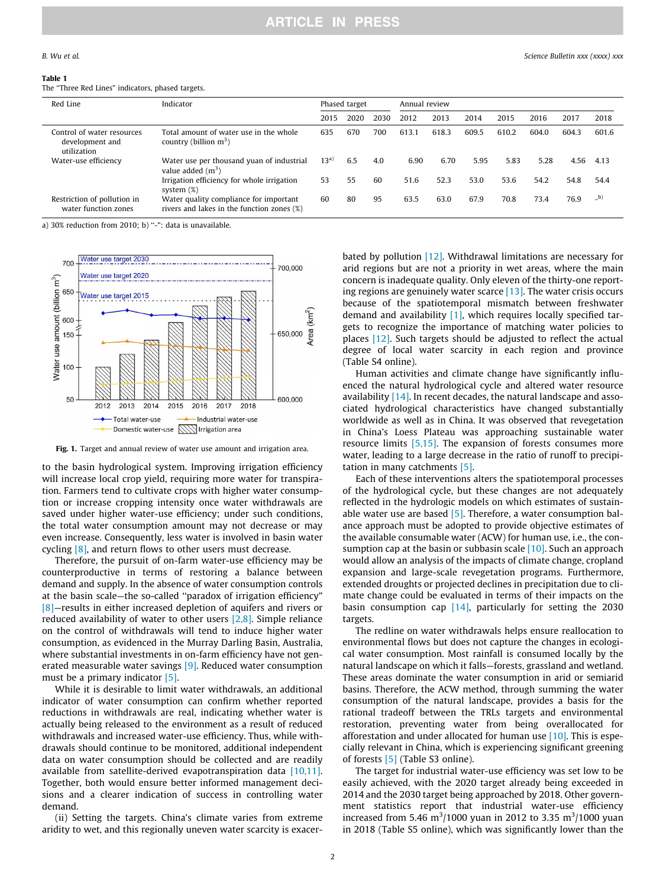#### <span id="page-1-0"></span>Table 1

The ''Three Red Lines" indicators, phased targets.

| Red Line                                                     | Indicator                                                                            | Phased target |      |      | Annual review |       |       |       |       |       |       |
|--------------------------------------------------------------|--------------------------------------------------------------------------------------|---------------|------|------|---------------|-------|-------|-------|-------|-------|-------|
|                                                              |                                                                                      | 2015          | 2020 | 2030 | 2012          | 2013  | 2014  | 2015  | 2016  | 2017  | 2018  |
| Control of water resources<br>development and<br>utilization | Total amount of water use in the whole<br>country (billion $m^3$ )                   | 635           | 670  | 700  | 613.1         | 618.3 | 609.5 | 610.2 | 604.0 | 604.3 | 601.6 |
| Water-use efficiency                                         | Water use per thousand yuan of industrial<br>value added $(m^3)$                     | $13^{a}$      | 6.5  | 4.0  | 6.90          | 6.70  | 5.95  | 5.83  | 5.28  | 4.56  | 4.13  |
|                                                              | Irrigation efficiency for whole irrigation<br>system $(\%)$                          | 53            | 55   | 60   | 51.6          | 52.3  | 53.0  | 53.6  | 54.2  | 54.8  | 54.4  |
| Restriction of pollution in<br>water function zones          | Water quality compliance for important<br>rivers and lakes in the function zones (%) | 60            | 80   | 95   | 63.5          | 63.0  | 67.9  | 70.8  | 73.4  | 76.9  | $_b)$ |

a) 30% reduction from 2010; b) ''-": data is unavailable.



Fig. 1. Target and annual review of water use amount and irrigation area.

to the basin hydrological system. Improving irrigation efficiency will increase local crop yield, requiring more water for transpiration. Farmers tend to cultivate crops with higher water consumption or increase cropping intensity once water withdrawals are saved under higher water-use efficiency; under such conditions, the total water consumption amount may not decrease or may even increase. Consequently, less water is involved in basin water cycling [\[8\],](#page-2-0) and return flows to other users must decrease.

Therefore, the pursuit of on-farm water-use efficiency may be counterproductive in terms of restoring a balance between demand and supply. In the absence of water consumption controls at the basin scale—the so-called ''paradox of irrigation efficiency" [\[8\]](#page-2-0)—results in either increased depletion of aquifers and rivers or reduced availability of water to other users  $[2,8]$ . Simple reliance on the control of withdrawals will tend to induce higher water consumption, as evidenced in the Murray Darling Basin, Australia, where substantial investments in on-farm efficiency have not gen-erated measurable water savings [\[9\].](#page-2-0) Reduced water consumption must be a primary indicator [\[5\]](#page-2-0).

While it is desirable to limit water withdrawals, an additional indicator of water consumption can confirm whether reported reductions in withdrawals are real, indicating whether water is actually being released to the environment as a result of reduced withdrawals and increased water-use efficiency. Thus, while withdrawals should continue to be monitored, additional independent data on water consumption should be collected and are readily available from satellite-derived evapotranspiration data [\[10,11\].](#page-2-0) Together, both would ensure better informed management decisions and a clearer indication of success in controlling water demand.

(ii) Setting the targets. China's climate varies from extreme aridity to wet, and this regionally uneven water scarcity is exacerbated by pollution [\[12\].](#page-2-0) Withdrawal limitations are necessary for arid regions but are not a priority in wet areas, where the main concern is inadequate quality. Only eleven of the thirty-one reporting regions are genuinely water scarce [\[13\].](#page-2-0) The water crisis occurs because of the spatiotemporal mismatch between freshwater demand and availability  $[1]$ , which requires locally specified targets to recognize the importance of matching water policies to places [\[12\].](#page-2-0) Such targets should be adjusted to reflect the actual degree of local water scarcity in each region and province (Table S4 online).

Human activities and climate change have significantly influenced the natural hydrological cycle and altered water resource availability [\[14\].](#page-2-0) In recent decades, the natural landscape and associated hydrological characteristics have changed substantially worldwide as well as in China. It was observed that revegetation in China's Loess Plateau was approaching sustainable water resource limits [\[5,15\]](#page-2-0). The expansion of forests consumes more water, leading to a large decrease in the ratio of runoff to precipitation in many catchments [\[5\].](#page-2-0)

Each of these interventions alters the spatiotemporal processes of the hydrological cycle, but these changes are not adequately reflected in the hydrologic models on which estimates of sustainable water use are based  $[5]$ . Therefore, a water consumption balance approach must be adopted to provide objective estimates of the available consumable water (ACW) for human use, i.e., the consumption cap at the basin or subbasin scale [\[10\]](#page-2-0). Such an approach would allow an analysis of the impacts of climate change, cropland expansion and large-scale revegetation programs. Furthermore, extended droughts or projected declines in precipitation due to climate change could be evaluated in terms of their impacts on the basin consumption cap [\[14\],](#page-2-0) particularly for setting the 2030 targets.

The redline on water withdrawals helps ensure reallocation to environmental flows but does not capture the changes in ecological water consumption. Most rainfall is consumed locally by the natural landscape on which it falls—forests, grassland and wetland. These areas dominate the water consumption in arid or semiarid basins. Therefore, the ACW method, through summing the water consumption of the natural landscape, provides a basis for the rational tradeoff between the TRLs targets and environmental restoration, preventing water from being overallocated for afforestation and under allocated for human use [\[10\].](#page-2-0) This is especially relevant in China, which is experiencing significant greening of forests [\[5\]](#page-2-0) (Table S3 online).

The target for industrial water-use efficiency was set low to be easily achieved, with the 2020 target already being exceeded in 2014 and the 2030 target being approached by 2018. Other government statistics report that industrial water-use efficiency increased from 5.46 m<sup>3</sup>/1000 yuan in 2012 to 3.35 m<sup>3</sup>/1000 yuan in 2018 (Table S5 online), which was significantly lower than the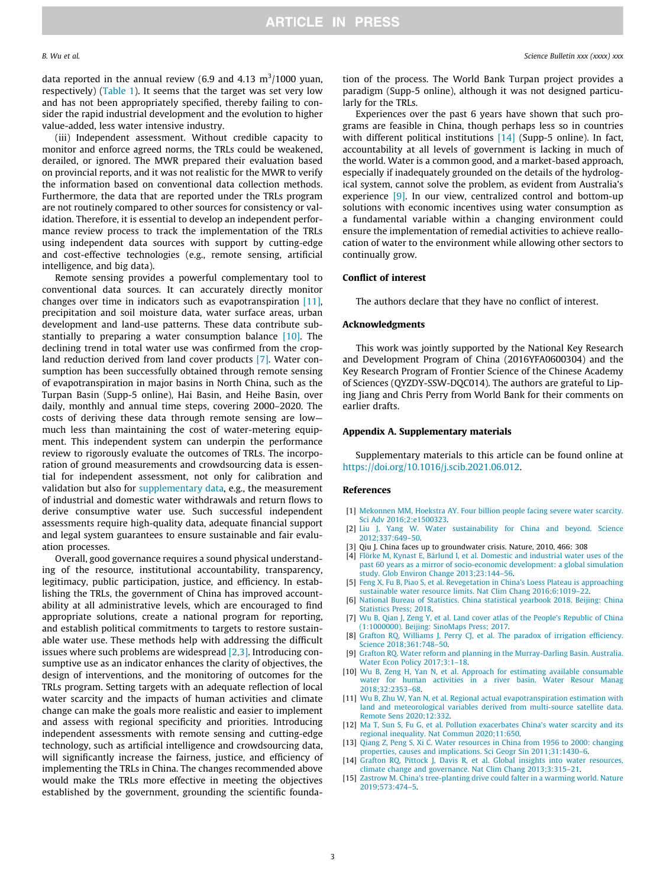<span id="page-2-0"></span>data reported in the annual review (6.9 and 4.13  $\mathrm{m}^3/\mathrm{1000}$  yuan, respectively) [\(Table 1](#page-1-0)). It seems that the target was set very low and has not been appropriately specified, thereby failing to consider the rapid industrial development and the evolution to higher value-added, less water intensive industry.

(iii) Independent assessment. Without credible capacity to monitor and enforce agreed norms, the TRLs could be weakened, derailed, or ignored. The MWR prepared their evaluation based on provincial reports, and it was not realistic for the MWR to verify the information based on conventional data collection methods. Furthermore, the data that are reported under the TRLs program are not routinely compared to other sources for consistency or validation. Therefore, it is essential to develop an independent performance review process to track the implementation of the TRLs using independent data sources with support by cutting-edge and cost-effective technologies (e.g., remote sensing, artificial intelligence, and big data).

Remote sensing provides a powerful complementary tool to conventional data sources. It can accurately directly monitor changes over time in indicators such as evapotranspiration [11], precipitation and soil moisture data, water surface areas, urban development and land-use patterns. These data contribute substantially to preparing a water consumption balance [10]. The declining trend in total water use was confirmed from the cropland reduction derived from land cover products [7]. Water consumption has been successfully obtained through remote sensing of evapotranspiration in major basins in North China, such as the Turpan Basin (Supp-5 online), Hai Basin, and Heihe Basin, over daily, monthly and annual time steps, covering 2000–2020. The costs of deriving these data through remote sensing are low much less than maintaining the cost of water-metering equipment. This independent system can underpin the performance review to rigorously evaluate the outcomes of TRLs. The incorporation of ground measurements and crowdsourcing data is essential for independent assessment, not only for calibration and validation but also for supplementary data, e.g., the measurement of industrial and domestic water withdrawals and return flows to derive consumptive water use. Such successful independent assessments require high-quality data, adequate financial support and legal system guarantees to ensure sustainable and fair evaluation processes.

Overall, good governance requires a sound physical understanding of the resource, institutional accountability, transparency, legitimacy, public participation, justice, and efficiency. In establishing the TRLs, the government of China has improved accountability at all administrative levels, which are encouraged to find appropriate solutions, create a national program for reporting, and establish political commitments to targets to restore sustainable water use. These methods help with addressing the difficult issues where such problems are widespread [2,3]. Introducing consumptive use as an indicator enhances the clarity of objectives, the design of interventions, and the monitoring of outcomes for the TRLs program. Setting targets with an adequate reflection of local water scarcity and the impacts of human activities and climate change can make the goals more realistic and easier to implement and assess with regional specificity and priorities. Introducing independent assessments with remote sensing and cutting-edge technology, such as artificial intelligence and crowdsourcing data, will significantly increase the fairness, justice, and efficiency of implementing the TRLs in China. The changes recommended above would make the TRLs more effective in meeting the objectives established by the government, grounding the scientific foundation of the process. The World Bank Turpan project provides a paradigm (Supp-5 online), although it was not designed particularly for the TRLs.

Experiences over the past 6 years have shown that such programs are feasible in China, though perhaps less so in countries with different political institutions [14] (Supp-5 online). In fact, accountability at all levels of government is lacking in much of the world. Water is a common good, and a market-based approach, especially if inadequately grounded on the details of the hydrological system, cannot solve the problem, as evident from Australia's experience [9]. In our view, centralized control and bottom-up solutions with economic incentives using water consumption as a fundamental variable within a changing environment could ensure the implementation of remedial activities to achieve reallocation of water to the environment while allowing other sectors to continually grow.

### Conflict of interest

The authors declare that they have no conflict of interest.

#### Acknowledgments

This work was jointly supported by the National Key Research and Development Program of China (2016YFA0600304) and the Key Research Program of Frontier Science of the Chinese Academy of Sciences (QYZDY-SSW-DQC014). The authors are grateful to Liping Jiang and Chris Perry from World Bank for their comments on earlier drafts.

#### Appendix A. Supplementary materials

Supplementary materials to this article can be found online at [https://doi.org/10.1016/j.scib.2021.06.012.](https://doi.org/10.1016/j.scib.2021.06.012)

### References

- [1] [Mekonnen MM, Hoekstra AY. Four billion people facing severe water scarcity.](http://refhub.elsevier.com/S2095-9273(21)00417-5/h0005) [Sci Adv 2016;2:e1500323.](http://refhub.elsevier.com/S2095-9273(21)00417-5/h0005)
- [2] [Liu J, Yang W. Water sustainability for China and beyond. Science](http://refhub.elsevier.com/S2095-9273(21)00417-5/h0010) [2012;337:649–50.](http://refhub.elsevier.com/S2095-9273(21)00417-5/h0010)
- [3] Qiu J. China faces up to groundwater crisis. Nature, 2010, 466: 308
- [4] [Flörke M, Kynast E, Bärlund I, et al. Domestic and industrial water uses of the](http://refhub.elsevier.com/S2095-9273(21)00417-5/h0020) [past 60 years as a mirror of socio-economic development: a global simulation](http://refhub.elsevier.com/S2095-9273(21)00417-5/h0020) [study. Glob Environ Change 2013;23:144–56.](http://refhub.elsevier.com/S2095-9273(21)00417-5/h0020)
- [5] [Feng X, Fu B, Piao S, et al. Revegetation in China's Loess Plateau is approaching](http://refhub.elsevier.com/S2095-9273(21)00417-5/h0025) [sustainable water resource limits. Nat Clim Chang 2016;6:1019–22.](http://refhub.elsevier.com/S2095-9273(21)00417-5/h0025)
- [6] [National Bureau of Statistics. China statistical yearbook 2018. Beijing: China](http://refhub.elsevier.com/S2095-9273(21)00417-5/h0030) [Statistics Press; 2018](http://refhub.elsevier.com/S2095-9273(21)00417-5/h0030).
- [7] [Wu B, Qian J, Zeng Y, et al. Land cover atlas of the People's Republic of China](http://refhub.elsevier.com/S2095-9273(21)00417-5/h0035) [\(1:1000000\). Beijing: SinoMaps Press; 2017.](http://refhub.elsevier.com/S2095-9273(21)00417-5/h0035)
- [8] [Grafton RQ, Williams J, Perry CJ, et al. The paradox of irrigation efficiency.](http://refhub.elsevier.com/S2095-9273(21)00417-5/h0040) [Science 2018;361:748–50](http://refhub.elsevier.com/S2095-9273(21)00417-5/h0040).
- [9] [Grafton RQ. Water reform and planning in the Murray-Darling Basin. Australia.](http://refhub.elsevier.com/S2095-9273(21)00417-5/h0045) [Water Econ Policy 2017;3:1–18](http://refhub.elsevier.com/S2095-9273(21)00417-5/h0045).
- [10] [Wu B, Zeng H, Yan N, et al. Approach for estimating available consumable](http://refhub.elsevier.com/S2095-9273(21)00417-5/h0050) [water for human activities in a river basin. Water Resour Manag](http://refhub.elsevier.com/S2095-9273(21)00417-5/h0050) [2018;32:2353–68](http://refhub.elsevier.com/S2095-9273(21)00417-5/h0050).
- [11] [Wu B, Zhu W, Yan N, et al. Regional actual evapotranspiration estimation with](http://refhub.elsevier.com/S2095-9273(21)00417-5/h0055) [land and meteorological variables derived from multi-source satellite data.](http://refhub.elsevier.com/S2095-9273(21)00417-5/h0055) [Remote Sens 2020;12:332](http://refhub.elsevier.com/S2095-9273(21)00417-5/h0055).
- [12] [Ma T, Sun S, Fu G, et al. Pollution exacerbates China's water scarcity and its](http://refhub.elsevier.com/S2095-9273(21)00417-5/h0060) [regional inequality. Nat Commun 2020;11:650.](http://refhub.elsevier.com/S2095-9273(21)00417-5/h0060)
- [13] [Qiang Z, Peng S, Xi C. Water resources in China from 1956 to 2000: changing](http://refhub.elsevier.com/S2095-9273(21)00417-5/h0065) [properties, causes and implications. Sci Geogr Sin 2011;31:1430–6.](http://refhub.elsevier.com/S2095-9273(21)00417-5/h0065)
- [14] [Grafton RQ, Pittock J, Davis R, et al. Global insights into water resources,](http://refhub.elsevier.com/S2095-9273(21)00417-5/h0070) [climate change and governance. Nat Clim Chang 2013;3:315–21](http://refhub.elsevier.com/S2095-9273(21)00417-5/h0070).
- [15] [Zastrow M. China's tree-planting drive could falter in a warming world. Nature](http://refhub.elsevier.com/S2095-9273(21)00417-5/h0075) [2019;573:474–5.](http://refhub.elsevier.com/S2095-9273(21)00417-5/h0075)